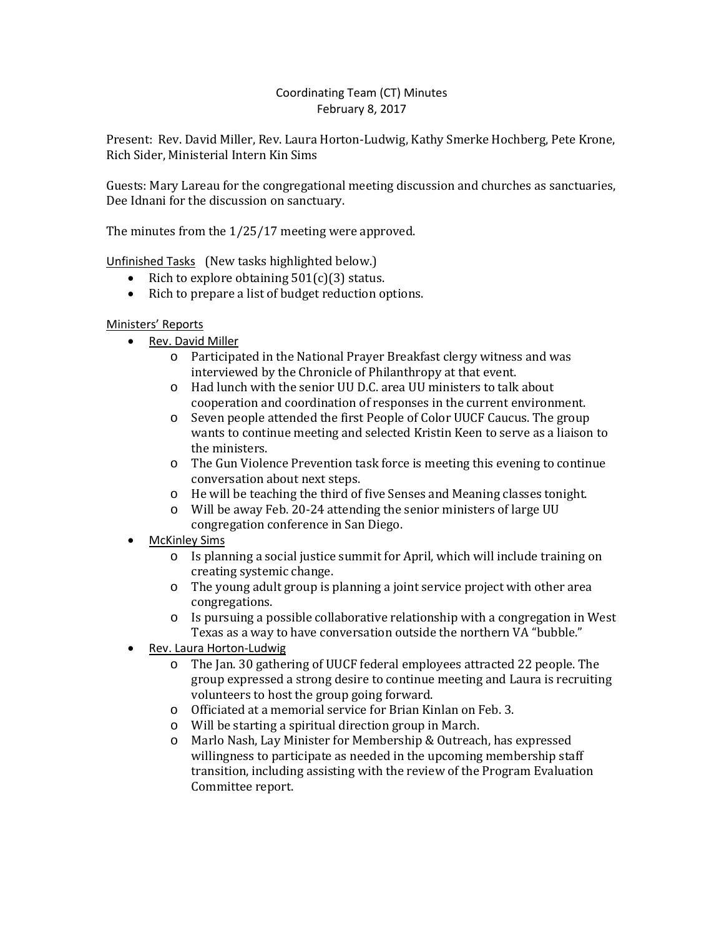# Coordinating Team (CT) Minutes February 8, 2017

Present: Rev. David Miller, Rev. Laura Horton-Ludwig, Kathy Smerke Hochberg, Pete Krone, Rich Sider, Ministerial Intern Kin Sims

Guests: Mary Lareau for the congregational meeting discussion and churches as sanctuaries, Dee Idnani for the discussion on sanctuary.

The minutes from the 1/25/17 meeting were approved.

Unfinished Tasks (New tasks highlighted below.)

- Rich to explore obtaining  $501(c)(3)$  status.
- Rich to prepare a list of budget reduction options.

# Ministers' Reports

- Rev. David Miller
	- o Participated in the National Prayer Breakfast clergy witness and was interviewed by the Chronicle of Philanthropy at that event.
	- o Had lunch with the senior UU D.C. area UU ministers to talk about cooperation and coordination of responses in the current environment.
	- o Seven people attended the first People of Color UUCF Caucus. The group wants to continue meeting and selected Kristin Keen to serve as a liaison to the ministers.
	- o The Gun Violence Prevention task force is meeting this evening to continue conversation about next steps.
	- o He will be teaching the third of five Senses and Meaning classes tonight.
	- o Will be away Feb. 20-24 attending the senior ministers of large UU congregation conference in San Diego.
- **McKinley Sims** 
	- o Is planning a social justice summit for April, which will include training on creating systemic change.
	- o The young adult group is planning a joint service project with other area congregations.
	- o Is pursuing a possible collaborative relationship with a congregation in West Texas as a way to have conversation outside the northern VA "bubble."
- Rev. Laura Horton-Ludwig
	- o The Jan. 30 gathering of UUCF federal employees attracted 22 people. The group expressed a strong desire to continue meeting and Laura is recruiting volunteers to host the group going forward.
	- o Officiated at a memorial service for Brian Kinlan on Feb. 3.
	- o Will be starting a spiritual direction group in March.
	- Marlo Nash, Lay Minister for Membership & Outreach, has expressed willingness to participate as needed in the upcoming membership staff transition, including assisting with the review of the Program Evaluation Committee report.